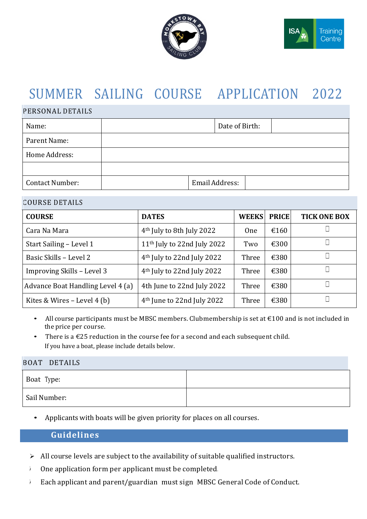



# SUMMER SAILING COURSE APPLICATION 2022

#### PERSONAL DETAILS

| Name:                  | Date of Birth: |
|------------------------|----------------|
| Parent Name:           |                |
| Home Address:          |                |
|                        |                |
| <b>Contact Number:</b> | Email Address: |

#### COURSE DETAILS

| <b>COURSE</b>                     | <b>DATES</b>                            | <b>WEEKS</b> | <b>PRICE</b>   | <b>TICK ONE BOX</b> |
|-----------------------------------|-----------------------------------------|--------------|----------------|---------------------|
| Cara Na Mara                      | 4 <sup>th</sup> July to 8th July 2022   | <b>One</b>   | €160           |                     |
| Start Sailing – Level 1           | 11 <sup>th</sup> July to 22nd July 2022 | Two          | $\epsilon$ 300 |                     |
| Basic Skills - Level 2            | 4 <sup>th</sup> July to 22nd July 2022  | Three        | €380           |                     |
| Improving Skills - Level 3        | $4th$ July to 22nd July 2022            | Three        | €380           |                     |
| Advance Boat Handling Level 4 (a) | 4th June to 22nd July 2022              | Three        | €380           |                     |
| Kites & Wires $-$ Level 4 (b)     | 4 <sup>th</sup> June to 22nd July 2022  | Three        | €380           |                     |

- All course participants must be MBSC members. Clubmembership is set at €100 and is not included in the price per course.
- There is a  $\text{\textsterling}25$  reduction in the course fee for a second and each subsequent child. If you have a boat, please include details below.

#### BOAT DETAILS

| Boat Type:   |  |
|--------------|--|
| Sail Number: |  |

• Applicants with boats will be given priority for places on all courses.

# **Guidelines**

- ➢ All course levels are subject to the availability of suitable qualified instructors.
- ➢ One application form per applicant must be completed.
- ➢ Each applicant and parent/guardian must sign MBSC General Code of Conduct.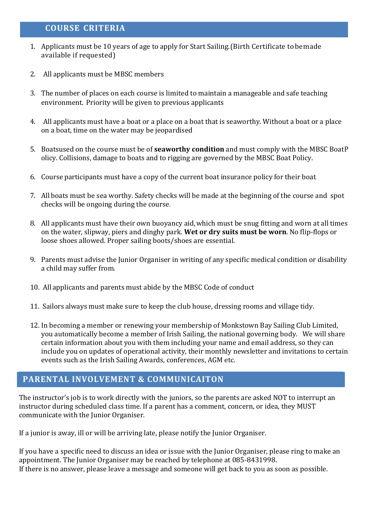# **COURSE CRITERIA**

- 1. Applicants must be 10 years of age to apply for Start Sailing.(Birth Certificate to bemade available if requested)
- 2. All applicants must be MBSC members
- 3. The number of places on each course is limited to maintain a manageable and safe teaching environment. Priority will be given to previous applicants
- 4. All applicants must have a boat or a place on a boat that is seaworthy. Without a boat or a place on a boat, time on the water may be jeopardised
- 5. Boatsused on the course must be of **seaworthy condition** and must comply with the MBSC BoatP olicy. Collisions, damage to boats and to rigging are governed by the MBSC Boat Policy.
- 6. Course participants must have a copy of the current boat insurance policy for their boat.
- 7. All boats must be sea worthy. Safety checks will be made at the beginning of the course and spot checks will be ongoing during the course.
- 8. All applicants must have their own buoyancy aid, which must be snug fitting and worn at all times on the water, slipway, piers and dinghy park. **Wet or dry suits must be worn**. No flip-flops or loose shoes allowed. Proper sailing boots/shoes are essential.
- 9. Parents must advise the Junior Organiser in writing of any specific medical condition or disability a child may suffer from.
- 10. All applicants and parents must abide by the MBSC Code of conduct
- 11. Sailors always must make sure to keep the club house, dressing rooms and village tidy.
- 12. In becoming a member or renewing your membership of Monkstown Bay Sailing Club Limited, you automatically become a member of Irish Sailing, the national governing body. We will share certain information about you with them including your name and email address, so they can include you on updates of operational activity, their monthly newsletter and invitations to certain events such as the Irish Sailing Awards, conferences, AGM etc.

# **PARENTAL INVOLVEMENT & COMMUNICAITON**

The instructor's job is to work directly with the juniors, so the parents are asked NOT to interrupt an instructor during scheduled class time. If a parent has a comment, concern, or idea, they MUST communicate with the Junior Organiser.

If a junior is away, ill or will be arriving late, please notify the Junior Organiser.

If you have a specific need to discuss an idea or issue with the Junior Organiser, please ring to make an appointment. The Junior Organiser may be reached by telephone at 085-8431998. If there is no answer, please leave a message and someone will get back to you as soon as possible.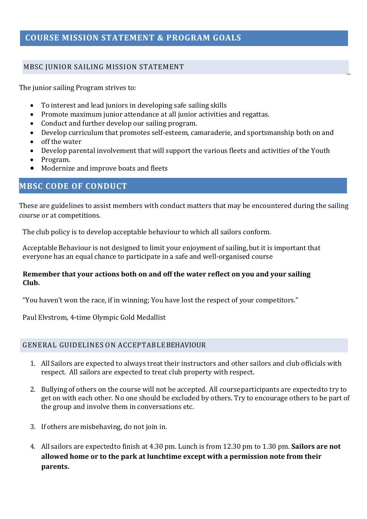# **COURSE MISSION STATEMENT & PROGRAM GOALS**

# MBSC JUNIOR SAILING MISSION STATEMENT

The junior sailing Program strives to:

- To interest and lead juniors in developing safe sailing skills
- Promote maximum junior attendance at all junior activities and regattas.
- Conduct and further develop our sailing program.
- Develop curriculum that promotes self-esteem, camaraderie, and sportsmanship both on and
- off the water
- Develop parental involvement that will support the various fleets and activities of the Youth
- Program.
- Modernize and improve boats and fleets

# **MBSC CODE OF CONDUCT**

These are guidelines to assist members with conduct matters that may be encountered during the sailing course or at competitions.

The club policy is to develop acceptable behaviour to which all sailors conform.

Acceptable Behaviour is not designed to limit your enjoyment of sailing, but it is important that everyone has an equal chance to participate in a safe and well-organised course

## **Remember that your actions both on and off the water reflect on you and your sailing Club.**

"You haven't won the race, if in winning; You have lost the respect of your competitors."

Paul Elvstrom, 4-time Olympic Gold Medallist

## GENERAL GUIDELINES ON ACCEPTABLEBEHAVIOUR

- 1. AllSailors are expected to always treat their instructors and other sailors and club officials with respect. All sailors are expected to treat club property with respect.
- 2. Bullying of others on the course will not be accepted. All courseparticipants are expectedto try to get on with each other. No one should be excluded by others. Try to encourage others to be part of the group and involve them in conversations etc.
- 3. If others are misbehaving, do not join in.
- 4. All sailors are expectedto finish at 4.30 pm. Lunch is from 12.30 pm to 1.30 pm. **Sailors are not allowed home or to the park at lunchtime except with a permission note from their parents.**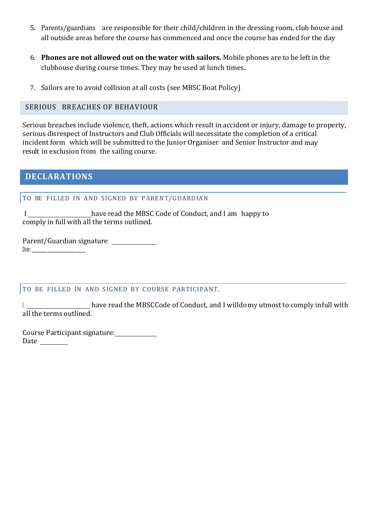- 5. Parents/guardians are responsible for their child/children in the dressing room, club house and all outside areas before the course has commenced and once the course has ended for the day
- 6. **Phones are not allowed out on the water with sailors.** Mobile phones are to be left in the clubhouse during course times. They may be used at lunch times.
- 7. Sailors are to avoid collision at all costs (see MBSC Boat Policy)

# SERIOUS BREACHES OF BEHAVIOUR

Serious breaches include violence, theft, actions which result in accident or injury, damage to property, serious disrespect of Instructors and Club Officials will necessitate the completion of a critical incident form which will be submitted to the Junior Organiser and Senior Instructor and may result in exclusion from the sailing course.

# **DECLARATIONS**

# TO BE FILLED IN AND SIGNED BY PARENT/GUARDIAN

 I have read the MBSC Code of Conduct, and I am happy to comply in full with all the terms outlined.

Parent/Guardian signature: Date: \_\_\_\_\_\_\_\_\_\_\_\_\_\_\_\_\_\_\_\_\_\_\_\_\_\_\_\_\_\_\_\_\_\_\_\_\_\_

## TO BE FILLED IN AND SIGNED BY COURSE PARTICIPANT.

I **have read the MBSCCode of Conduct**, and I willdomy utmost to comply infull with all the terms outlined.

Course Participant signature: Date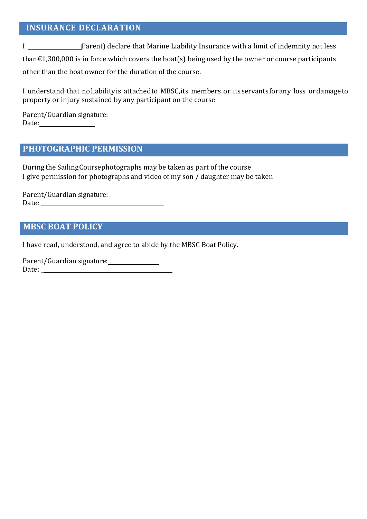# **INSURANCE DECLARATION**

I (Parent) declare that Marine Liability Insurance with a limit of indemnity not less than $£1,300,000$  is in force which covers the boat(s) being used by the owner or course participants

other than the boat owner for the duration of the course.

I understand that noliabilityis attachedto MBSC,its members or itsservantsforany loss ordamageto property or injury sustained by any participant on the course

Parent/Guardian signature: Date:

# **PHOTOGRAPHIC PERMISSION**

During the SailingCoursephotographs may be taken as part of the course I give permission for photographs and video of my son / daughter may be taken

Parent/Guardian signature: Date: \_\_\_\_\_\_\_\_\_\_\_\_\_\_\_\_\_\_\_\_\_\_\_\_\_\_\_\_\_\_\_\_\_\_\_\_\_\_\_\_\_\_\_\_\_

# **MBSC BOAT POLICY**

I have read, understood, and agree to abide by the MBSC Boat Policy.

Parent/Guardian signature: Date: \_\_\_\_\_\_\_\_\_\_\_\_\_\_\_\_\_\_\_\_\_\_\_\_\_\_\_\_\_\_\_\_\_\_\_\_\_\_\_\_\_\_\_\_\_\_\_\_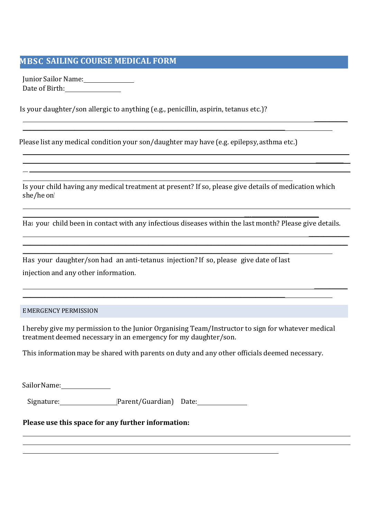# **MBSC SAILING COURSE MEDICAL FORM**

JuniorSailor Name: Date of Birth:

l

 $\overline{a}$  $\overline{a}$ 

 $\overline{a}$  $\overline{a}$ 

Is your daughter/son allergic to anything (e.g., penicillin, aspirin, tetanus etc.)?

Please list any medical condition your son/daughter may have (e.g. epilepsy, asthma etc.)

\_\_\_\_\_\_\_\_\_\_\_\_\_\_\_\_\_\_\_\_\_\_\_\_\_\_\_\_\_\_\_\_\_\_\_\_\_\_\_\_\_\_\_\_\_\_\_\_\_\_\_\_\_\_\_\_\_\_\_\_\_\_\_\_\_\_\_\_\_\_\_

Is your child having any medical treatment at present? If so, please give details of medication which she/he on?

\_\_\_\_\_\_\_\_\_\_\_\_\_\_\_\_\_\_\_\_\_\_\_\_\_\_\_\_\_\_\_\_\_\_\_\_\_\_\_\_\_\_\_\_\_\_\_\_\_\_\_\_\_\_\_\_\_\_\_\_\_\_\_\_\_\_\_\_\_\_\_\_\_\_\_\_\_\_\_\_\_\_\_\_\_\_\_\_\_\_\_\_\_\_\_\_\_\_\_\_\_\_\_\_\_\_\_\_\_

\_\_\_\_\_\_\_\_\_

\_\_\_\_\_\_\_\_\_\_

Has your child been in contact with any infectious diseases within the last month? Please give details.

 \_\_\_\_\_\_\_\_\_\_\_ \_\_\_\_\_\_\_\_\_\_\_\_\_\_\_\_\_\_\_\_\_\_\_\_\_\_\_\_\_\_\_\_\_\_\_\_\_\_\_\_\_\_\_\_\_\_\_\_\_\_\_\_\_\_\_\_\_\_\_\_\_\_\_\_\_\_\_\_\_\_\_\_\_\_\_\_\_\_\_\_\_\_\_\_\_\_\_\_

 $\mathcal{L}_\text{max}$  , and the contract of the contract of the contract of the contract of the contract of the contract of the contract of the contract of the contract of the contract of the contract of the contract of the contr

|                                      | Has your daughter/son had an anti-tetanus injection? If so, please give date of last |  |
|--------------------------------------|--------------------------------------------------------------------------------------|--|
| injection and any other information. |                                                                                      |  |

\_\_\_\_\_\_\_\_\_\_\_\_\_\_\_\_\_\_\_\_\_\_\_\_\_\_\_\_\_\_\_\_\_\_\_\_\_\_\_\_\_\_\_\_\_\_\_\_\_\_\_\_\_\_\_\_\_\_\_\_\_\_\_\_\_\_\_\_\_\_\_

\_\_\_\_\_\_\_\_\_\_\_\_\_\_\_\_\_\_\_\_\_\_\_\_\_\_\_\_\_\_\_\_\_\_\_\_\_\_\_\_\_\_\_\_\_\_\_\_\_\_\_\_\_\_\_\_\_\_\_\_\_\_\_\_\_\_\_\_\_\_\_\_

#### EMERGENCY PERMISSION

I hereby give my permission to the Junior Organising Team/Instructor to sign for whatever medical treatment deemed necessary in an emergency for my daughter/son.

This information may be shared with parents on duty and any other officials deemed necessary.

| Sailor Name:                                       |                         |  |  |  |  |
|----------------------------------------------------|-------------------------|--|--|--|--|
| Signature:                                         | [Parent/Guardian] Date: |  |  |  |  |
| Please use this space for any further information: |                         |  |  |  |  |